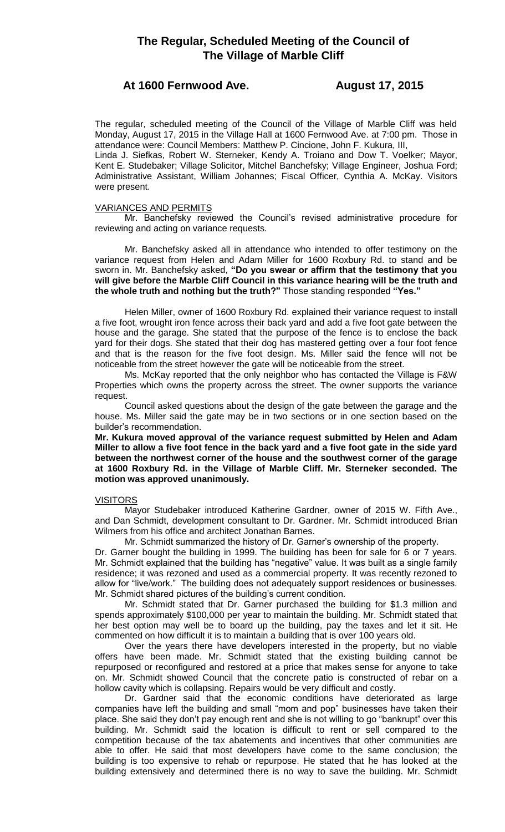# **The Regular, Scheduled Meeting of the Council of The Village of Marble Cliff**

# **At 1600 Fernwood Ave. August 17, 2015**

The regular, scheduled meeting of the Council of the Village of Marble Cliff was held Monday, August 17, 2015 in the Village Hall at 1600 Fernwood Ave. at 7:00 pm. Those in attendance were: Council Members: Matthew P. Cincione, John F. Kukura, III,

Linda J. Siefkas, Robert W. Sterneker, Kendy A. Troiano and Dow T. Voelker; Mayor, Kent E. Studebaker; Village Solicitor, Mitchel Banchefsky; Village Engineer, Joshua Ford; Administrative Assistant, William Johannes; Fiscal Officer, Cynthia A. McKay. Visitors were present.

## VARIANCES AND PERMITS

Mr. Banchefsky reviewed the Council's revised administrative procedure for reviewing and acting on variance requests.

Mr. Banchefsky asked all in attendance who intended to offer testimony on the variance request from Helen and Adam Miller for 1600 Roxbury Rd. to stand and be sworn in. Mr. Banchefsky asked, **"Do you swear or affirm that the testimony that you will give before the Marble Cliff Council in this variance hearing will be the truth and the whole truth and nothing but the truth?"** Those standing responded **"Yes."**

Helen Miller, owner of 1600 Roxbury Rd. explained their variance request to install a five foot, wrought iron fence across their back yard and add a five foot gate between the house and the garage. She stated that the purpose of the fence is to enclose the back yard for their dogs. She stated that their dog has mastered getting over a four foot fence and that is the reason for the five foot design. Ms. Miller said the fence will not be noticeable from the street however the gate will be noticeable from the street.

Ms. McKay reported that the only neighbor who has contacted the Village is F&W Properties which owns the property across the street. The owner supports the variance request.

Council asked questions about the design of the gate between the garage and the house. Ms. Miller said the gate may be in two sections or in one section based on the builder's recommendation.

**Mr. Kukura moved approval of the variance request submitted by Helen and Adam Miller to allow a five foot fence in the back yard and a five foot gate in the side yard between the northwest corner of the house and the southwest corner of the garage at 1600 Roxbury Rd. in the Village of Marble Cliff. Mr. Sterneker seconded. The motion was approved unanimously.**

# **VISITORS**

Mayor Studebaker introduced Katherine Gardner, owner of 2015 W. Fifth Ave., and Dan Schmidt, development consultant to Dr. Gardner. Mr. Schmidt introduced Brian Wilmers from his office and architect Jonathan Barnes.

Mr. Schmidt summarized the history of Dr. Garner's ownership of the property.

Dr. Garner bought the building in 1999. The building has been for sale for 6 or 7 years. Mr. Schmidt explained that the building has "negative" value. It was built as a single family residence; it was rezoned and used as a commercial property. It was recently rezoned to allow for "live/work." The building does not adequately support residences or businesses. Mr. Schmidt shared pictures of the building's current condition.

Mr. Schmidt stated that Dr. Garner purchased the building for \$1.3 million and spends approximately \$100,000 per year to maintain the building. Mr. Schmidt stated that her best option may well be to board up the building, pay the taxes and let it sit. He commented on how difficult it is to maintain a building that is over 100 years old.

Over the years there have developers interested in the property, but no viable offers have been made. Mr. Schmidt stated that the existing building cannot be repurposed or reconfigured and restored at a price that makes sense for anyone to take on. Mr. Schmidt showed Council that the concrete patio is constructed of rebar on a hollow cavity which is collapsing. Repairs would be very difficult and costly.

Dr. Gardner said that the economic conditions have deteriorated as large companies have left the building and small "mom and pop" businesses have taken their place. She said they don't pay enough rent and she is not willing to go "bankrupt" over this building. Mr. Schmidt said the location is difficult to rent or sell compared to the competition because of the tax abatements and incentives that other communities are able to offer. He said that most developers have come to the same conclusion; the building is too expensive to rehab or repurpose. He stated that he has looked at the building extensively and determined there is no way to save the building. Mr. Schmidt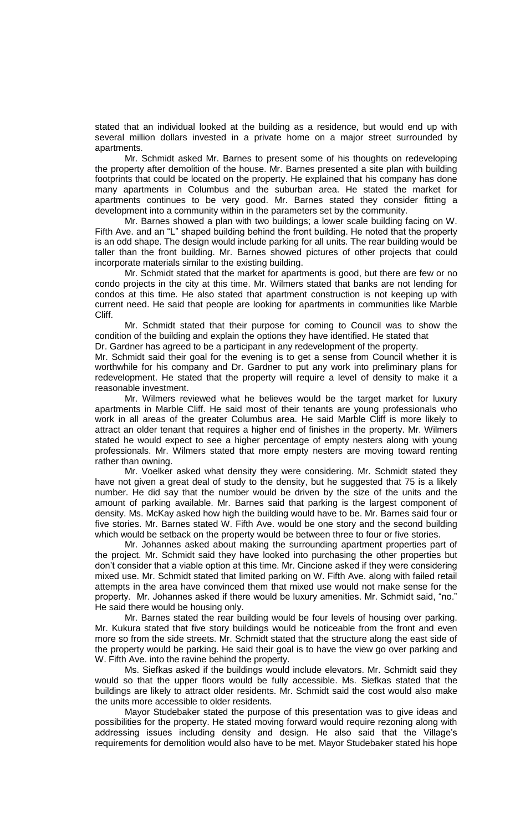stated that an individual looked at the building as a residence, but would end up with several million dollars invested in a private home on a major street surrounded by apartments.

Mr. Schmidt asked Mr. Barnes to present some of his thoughts on redeveloping the property after demolition of the house. Mr. Barnes presented a site plan with building footprints that could be located on the property. He explained that his company has done many apartments in Columbus and the suburban area. He stated the market for apartments continues to be very good. Mr. Barnes stated they consider fitting a development into a community within in the parameters set by the community.

Mr. Barnes showed a plan with two buildings; a lower scale building facing on W. Fifth Ave. and an "L" shaped building behind the front building. He noted that the property is an odd shape. The design would include parking for all units. The rear building would be taller than the front building. Mr. Barnes showed pictures of other projects that could incorporate materials similar to the existing building.

Mr. Schmidt stated that the market for apartments is good, but there are few or no condo projects in the city at this time. Mr. Wilmers stated that banks are not lending for condos at this time. He also stated that apartment construction is not keeping up with current need. He said that people are looking for apartments in communities like Marble Cliff.

Mr. Schmidt stated that their purpose for coming to Council was to show the condition of the building and explain the options they have identified. He stated that

Dr. Gardner has agreed to be a participant in any redevelopment of the property.

Mr. Schmidt said their goal for the evening is to get a sense from Council whether it is worthwhile for his company and Dr. Gardner to put any work into preliminary plans for redevelopment. He stated that the property will require a level of density to make it a reasonable investment.

Mr. Wilmers reviewed what he believes would be the target market for luxury apartments in Marble Cliff. He said most of their tenants are young professionals who work in all areas of the greater Columbus area. He said Marble Cliff is more likely to attract an older tenant that requires a higher end of finishes in the property. Mr. Wilmers stated he would expect to see a higher percentage of empty nesters along with young professionals. Mr. Wilmers stated that more empty nesters are moving toward renting rather than owning.

Mr. Voelker asked what density they were considering. Mr. Schmidt stated they have not given a great deal of study to the density, but he suggested that 75 is a likely number. He did say that the number would be driven by the size of the units and the amount of parking available. Mr. Barnes said that parking is the largest component of density. Ms. McKay asked how high the building would have to be. Mr. Barnes said four or five stories. Mr. Barnes stated W. Fifth Ave. would be one story and the second building which would be setback on the property would be between three to four or five stories.

Mr. Johannes asked about making the surrounding apartment properties part of the project. Mr. Schmidt said they have looked into purchasing the other properties but don't consider that a viable option at this time. Mr. Cincione asked if they were considering mixed use. Mr. Schmidt stated that limited parking on W. Fifth Ave. along with failed retail attempts in the area have convinced them that mixed use would not make sense for the property. Mr. Johannes asked if there would be luxury amenities. Mr. Schmidt said, "no." He said there would be housing only.

Mr. Barnes stated the rear building would be four levels of housing over parking. Mr. Kukura stated that five story buildings would be noticeable from the front and even more so from the side streets. Mr. Schmidt stated that the structure along the east side of the property would be parking. He said their goal is to have the view go over parking and W. Fifth Ave. into the ravine behind the property.

Ms. Siefkas asked if the buildings would include elevators. Mr. Schmidt said they would so that the upper floors would be fully accessible. Ms. Siefkas stated that the buildings are likely to attract older residents. Mr. Schmidt said the cost would also make the units more accessible to older residents.

Mayor Studebaker stated the purpose of this presentation was to give ideas and possibilities for the property. He stated moving forward would require rezoning along with addressing issues including density and design. He also said that the Village's requirements for demolition would also have to be met. Mayor Studebaker stated his hope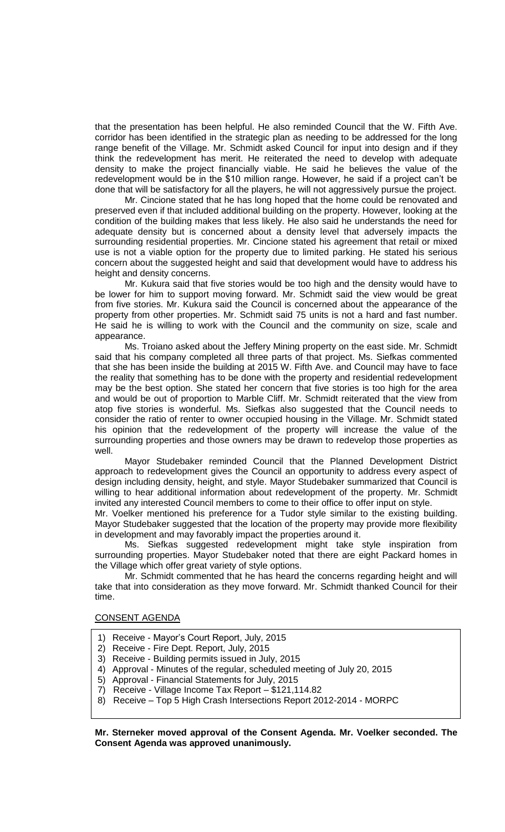that the presentation has been helpful. He also reminded Council that the W. Fifth Ave. corridor has been identified in the strategic plan as needing to be addressed for the long range benefit of the Village. Mr. Schmidt asked Council for input into design and if they think the redevelopment has merit. He reiterated the need to develop with adequate density to make the project financially viable. He said he believes the value of the redevelopment would be in the \$10 million range. However, he said if a project can't be done that will be satisfactory for all the players, he will not aggressively pursue the project.

Mr. Cincione stated that he has long hoped that the home could be renovated and preserved even if that included additional building on the property. However, looking at the condition of the building makes that less likely. He also said he understands the need for adequate density but is concerned about a density level that adversely impacts the surrounding residential properties. Mr. Cincione stated his agreement that retail or mixed use is not a viable option for the property due to limited parking. He stated his serious concern about the suggested height and said that development would have to address his height and density concerns.

Mr. Kukura said that five stories would be too high and the density would have to be lower for him to support moving forward. Mr. Schmidt said the view would be great from five stories. Mr. Kukura said the Council is concerned about the appearance of the property from other properties. Mr. Schmidt said 75 units is not a hard and fast number. He said he is willing to work with the Council and the community on size, scale and appearance.

Ms. Troiano asked about the Jeffery Mining property on the east side. Mr. Schmidt said that his company completed all three parts of that project. Ms. Siefkas commented that she has been inside the building at 2015 W. Fifth Ave. and Council may have to face the reality that something has to be done with the property and residential redevelopment may be the best option. She stated her concern that five stories is too high for the area and would be out of proportion to Marble Cliff. Mr. Schmidt reiterated that the view from atop five stories is wonderful. Ms. Siefkas also suggested that the Council needs to consider the ratio of renter to owner occupied housing in the Village. Mr. Schmidt stated his opinion that the redevelopment of the property will increase the value of the surrounding properties and those owners may be drawn to redevelop those properties as well.

Mayor Studebaker reminded Council that the Planned Development District approach to redevelopment gives the Council an opportunity to address every aspect of design including density, height, and style. Mayor Studebaker summarized that Council is willing to hear additional information about redevelopment of the property. Mr. Schmidt invited any interested Council members to come to their office to offer input on style.

Mr. Voelker mentioned his preference for a Tudor style similar to the existing building. Mayor Studebaker suggested that the location of the property may provide more flexibility in development and may favorably impact the properties around it.

Ms. Siefkas suggested redevelopment might take style inspiration from surrounding properties. Mayor Studebaker noted that there are eight Packard homes in the Village which offer great variety of style options.

Mr. Schmidt commented that he has heard the concerns regarding height and will take that into consideration as they move forward. Mr. Schmidt thanked Council for their time.

#### CONSENT AGENDA

- 1) Receive Mayor's Court Report, July, 2015
- 2) Receive Fire Dept. Report, July, 2015
- 3) Receive Building permits issued in July, 2015
- 4) Approval Minutes of the regular, scheduled meeting of July 20, 2015
- 5) Approval Financial Statements for July, 2015
- 7) Receive Village Income Tax Report \$121,114.82
- 8) Receive Top 5 High Crash Intersections Report 2012-2014 MORPC

**Mr. Sterneker moved approval of the Consent Agenda. Mr. Voelker seconded. The Consent Agenda was approved unanimously.**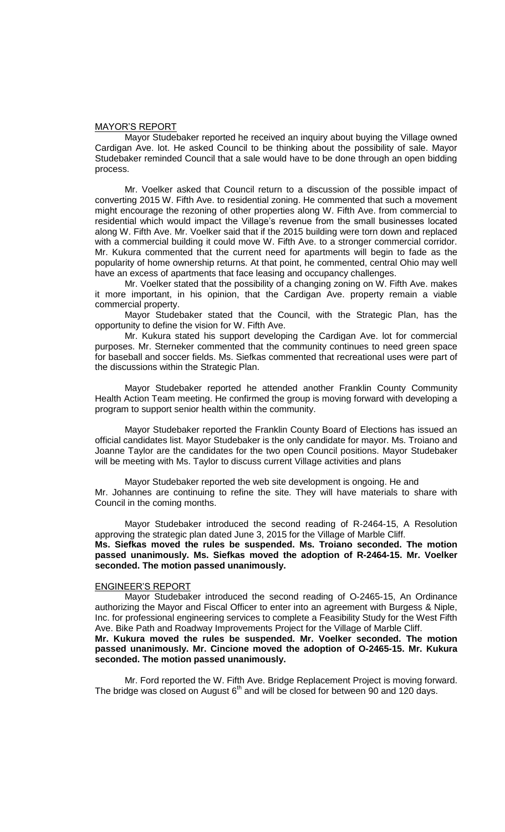## MAYOR'S REPORT

Mayor Studebaker reported he received an inquiry about buying the Village owned Cardigan Ave. lot. He asked Council to be thinking about the possibility of sale. Mayor Studebaker reminded Council that a sale would have to be done through an open bidding process.

Mr. Voelker asked that Council return to a discussion of the possible impact of converting 2015 W. Fifth Ave. to residential zoning. He commented that such a movement might encourage the rezoning of other properties along W. Fifth Ave. from commercial to residential which would impact the Village's revenue from the small businesses located along W. Fifth Ave. Mr. Voelker said that if the 2015 building were torn down and replaced with a commercial building it could move W. Fifth Ave. to a stronger commercial corridor. Mr. Kukura commented that the current need for apartments will begin to fade as the popularity of home ownership returns. At that point, he commented, central Ohio may well have an excess of apartments that face leasing and occupancy challenges.

Mr. Voelker stated that the possibility of a changing zoning on W. Fifth Ave. makes it more important, in his opinion, that the Cardigan Ave. property remain a viable commercial property.

Mayor Studebaker stated that the Council, with the Strategic Plan, has the opportunity to define the vision for W. Fifth Ave.

Mr. Kukura stated his support developing the Cardigan Ave. lot for commercial purposes. Mr. Sterneker commented that the community continues to need green space for baseball and soccer fields. Ms. Siefkas commented that recreational uses were part of the discussions within the Strategic Plan.

Mayor Studebaker reported he attended another Franklin County Community Health Action Team meeting. He confirmed the group is moving forward with developing a program to support senior health within the community.

Mayor Studebaker reported the Franklin County Board of Elections has issued an official candidates list. Mayor Studebaker is the only candidate for mayor. Ms. Troiano and Joanne Taylor are the candidates for the two open Council positions. Mayor Studebaker will be meeting with Ms. Taylor to discuss current Village activities and plans

Mayor Studebaker reported the web site development is ongoing. He and Mr. Johannes are continuing to refine the site. They will have materials to share with Council in the coming months.

Mayor Studebaker introduced the second reading of R-2464-15, A Resolution approving the strategic plan dated June 3, 2015 for the Village of Marble Cliff. **Ms. Siefkas moved the rules be suspended. Ms. Troiano seconded. The motion passed unanimously. Ms. Siefkas moved the adoption of R-2464-15. Mr. Voelker seconded. The motion passed unanimously.**

# ENGINEER'S REPORT

Mayor Studebaker introduced the second reading of O-2465-15, An Ordinance authorizing the Mayor and Fiscal Officer to enter into an agreement with Burgess & Niple, Inc. for professional engineering services to complete a Feasibility Study for the West Fifth Ave. Bike Path and Roadway Improvements Project for the Village of Marble Cliff. **Mr. Kukura moved the rules be suspended. Mr. Voelker seconded. The motion passed unanimously. Mr. Cincione moved the adoption of O-2465-15. Mr. Kukura seconded. The motion passed unanimously.**

Mr. Ford reported the W. Fifth Ave. Bridge Replacement Project is moving forward. The bridge was closed on August  $6<sup>th</sup>$  and will be closed for between 90 and 120 days.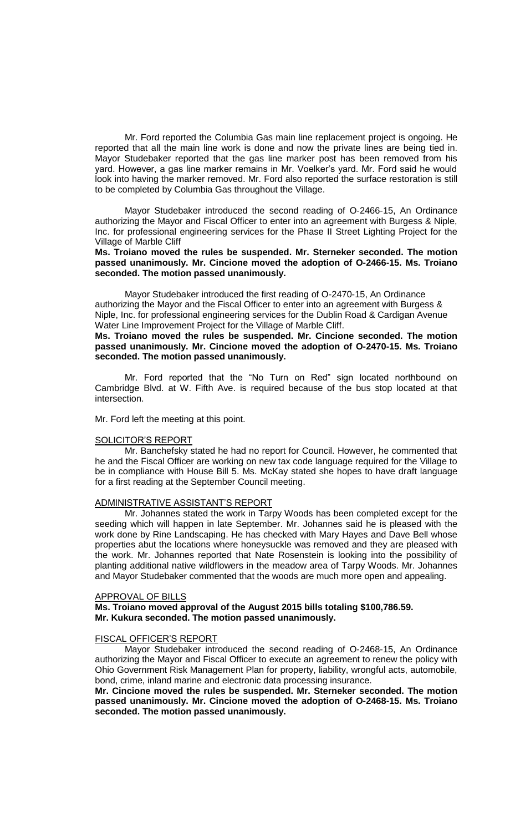Mr. Ford reported the Columbia Gas main line replacement project is ongoing. He reported that all the main line work is done and now the private lines are being tied in. Mayor Studebaker reported that the gas line marker post has been removed from his yard. However, a gas line marker remains in Mr. Voelker's yard. Mr. Ford said he would look into having the marker removed. Mr. Ford also reported the surface restoration is still to be completed by Columbia Gas throughout the Village.

Mayor Studebaker introduced the second reading of O-2466-15, An Ordinance authorizing the Mayor and Fiscal Officer to enter into an agreement with Burgess & Niple, Inc. for professional engineering services for the Phase II Street Lighting Project for the Village of Marble Cliff

**Ms. Troiano moved the rules be suspended. Mr. Sterneker seconded. The motion passed unanimously. Mr. Cincione moved the adoption of O-2466-15. Ms. Troiano seconded. The motion passed unanimously.**

Mayor Studebaker introduced the first reading of O-2470-15, An Ordinance authorizing the Mayor and the Fiscal Officer to enter into an agreement with Burgess & Niple, Inc. for professional engineering services for the Dublin Road & Cardigan Avenue Water Line Improvement Project for the Village of Marble Cliff.

**Ms. Troiano moved the rules be suspended. Mr. Cincione seconded. The motion passed unanimously. Mr. Cincione moved the adoption of O-2470-15. Ms. Troiano seconded. The motion passed unanimously.**

Mr. Ford reported that the "No Turn on Red" sign located northbound on Cambridge Blvd. at W. Fifth Ave. is required because of the bus stop located at that intersection.

Mr. Ford left the meeting at this point.

#### SOLICITOR'S REPORT

Mr. Banchefsky stated he had no report for Council. However, he commented that he and the Fiscal Officer are working on new tax code language required for the Village to be in compliance with House Bill 5. Ms. McKay stated she hopes to have draft language for a first reading at the September Council meeting.

#### ADMINISTRATIVE ASSISTANT'S REPORT

Mr. Johannes stated the work in Tarpy Woods has been completed except for the seeding which will happen in late September. Mr. Johannes said he is pleased with the work done by Rine Landscaping. He has checked with Mary Hayes and Dave Bell whose properties abut the locations where honeysuckle was removed and they are pleased with the work. Mr. Johannes reported that Nate Rosenstein is looking into the possibility of planting additional native wildflowers in the meadow area of Tarpy Woods. Mr. Johannes and Mayor Studebaker commented that the woods are much more open and appealing.

#### APPROVAL OF BILLS

# **Ms. Troiano moved approval of the August 2015 bills totaling \$100,786.59. Mr. Kukura seconded. The motion passed unanimously.**

#### FISCAL OFFICER'S REPORT

Mayor Studebaker introduced the second reading of O-2468-15, An Ordinance authorizing the Mayor and Fiscal Officer to execute an agreement to renew the policy with Ohio Government Risk Management Plan for property, liability, wrongful acts, automobile, bond, crime, inland marine and electronic data processing insurance.

**Mr. Cincione moved the rules be suspended. Mr. Sterneker seconded. The motion passed unanimously. Mr. Cincione moved the adoption of O-2468-15. Ms. Troiano seconded. The motion passed unanimously.**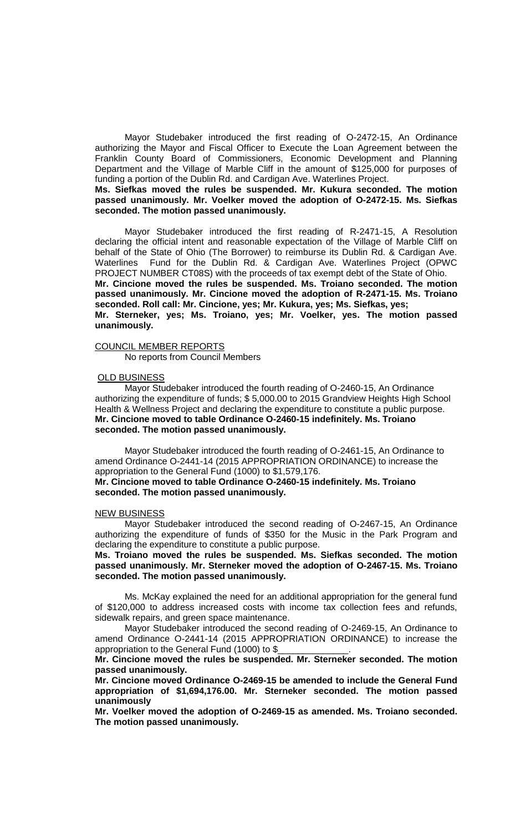Mayor Studebaker introduced the first reading of O-2472-15, An Ordinance authorizing the Mayor and Fiscal Officer to Execute the Loan Agreement between the Franklin County Board of Commissioners, Economic Development and Planning Department and the Village of Marble Cliff in the amount of \$125,000 for purposes of funding a portion of the Dublin Rd. and Cardigan Ave. Waterlines Project.

**Ms. Siefkas moved the rules be suspended. Mr. Kukura seconded. The motion passed unanimously. Mr. Voelker moved the adoption of O-2472-15. Ms. Siefkas seconded. The motion passed unanimously.**

Mayor Studebaker introduced the first reading of R-2471-15, A Resolution declaring the official intent and reasonable expectation of the Village of Marble Cliff on behalf of the State of Ohio (The Borrower) to reimburse its Dublin Rd. & Cardigan Ave. Waterlines Fund for the Dublin Rd. & Cardigan Ave. Waterlines Project (OPWC PROJECT NUMBER CT08S) with the proceeds of tax exempt debt of the State of Ohio. **Mr. Cincione moved the rules be suspended. Ms. Troiano seconded. The motion passed unanimously. Mr. Cincione moved the adoption of R-2471-15. Ms. Troiano seconded. Roll call: Mr. Cincione, yes; Mr. Kukura, yes; Ms. Siefkas, yes; Mr. Sterneker, yes; Ms. Troiano, yes; Mr. Voelker, yes. The motion passed unanimously.**

#### COUNCIL MEMBER REPORTS

No reports from Council Members

#### OLD BUSINESS

Mayor Studebaker introduced the fourth reading of O-2460-15, An Ordinance authorizing the expenditure of funds; \$ 5,000.00 to 2015 Grandview Heights High School Health & Wellness Project and declaring the expenditure to constitute a public purpose. **Mr. Cincione moved to table Ordinance O-2460-15 indefinitely. Ms. Troiano seconded. The motion passed unanimously.**

Mayor Studebaker introduced the fourth reading of O-2461-15, An Ordinance to amend Ordinance O-2441-14 (2015 APPROPRIATION ORDINANCE) to increase the appropriation to the General Fund (1000) to \$1,579,176.

# **Mr. Cincione moved to table Ordinance O-2460-15 indefinitely. Ms. Troiano seconded. The motion passed unanimously.**

#### NEW BUSINESS

Mayor Studebaker introduced the second reading of O-2467-15, An Ordinance authorizing the expenditure of funds of \$350 for the Music in the Park Program and declaring the expenditure to constitute a public purpose.

**Ms. Troiano moved the rules be suspended. Ms. Siefkas seconded. The motion passed unanimously. Mr. Sterneker moved the adoption of O-2467-15. Ms. Troiano seconded. The motion passed unanimously.**

Ms. McKay explained the need for an additional appropriation for the general fund of \$120,000 to address increased costs with income tax collection fees and refunds, sidewalk repairs, and green space maintenance.

Mayor Studebaker introduced the second reading of O-2469-15, An Ordinance to amend Ordinance O-2441-14 (2015 APPROPRIATION ORDINANCE) to increase the appropriation to the General Fund (1000) to \$

**Mr. Cincione moved the rules be suspended. Mr. Sterneker seconded. The motion passed unanimously.** 

**Mr. Cincione moved Ordinance O-2469-15 be amended to include the General Fund appropriation of \$1,694,176.00. Mr. Sterneker seconded. The motion passed unanimously**

**Mr. Voelker moved the adoption of O-2469-15 as amended. Ms. Troiano seconded. The motion passed unanimously.**